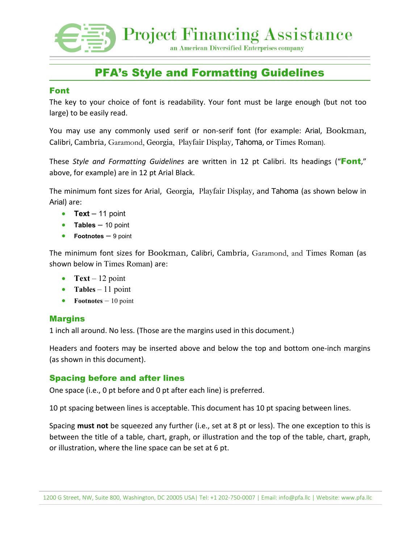**Project Financing Assistance** an American Diversified Enterprises company

# PFA's Style and Formatting Guidelines

#### Font

The key to your choice of font is readability. Your font must be large enough (but not too large) to be easily read.

You may use any commonly used serif or non-serif font (for example: Arial, Bookman, Calibri, Cambria, Garamond, Georgia, Playfair Display, Tahoma, or Times Roman).

These *Style and Formatting Guidelines* are written in 12 pt Calibri. Its headings ("Font," above, for example) are in 12 pt Arial Black.

The minimum font sizes for Arial, Georgia, Playfair Display, and Tahoma (as shown below in Arial) are:

- **Text** 11 point
- **Tables** 10 point
- **Footnotes** 9 point

The minimum font sizes for Bookman, Calibri, Cambria, Garamond, and Times Roman (as shown below in Times Roman) are:

- **Text** 12 point
- **Tables** 11 point
- **Footnotes** 10 point

#### **Margins**

1 inch all around. No less. (Those are the margins used in this document.)

Headers and footers may be inserted above and below the top and bottom one-inch margins (as shown in this document).

#### Spacing before and after lines

One space (i.e., 0 pt before and 0 pt after each line) is preferred.

10 pt spacing between lines is acceptable. This document has 10 pt spacing between lines.

Spacing **must not** be squeezed any further (i.e., set at 8 pt or less). The one exception to this is between the title of a table, chart, graph, or illustration and the top of the table, chart, graph, or illustration, where the line space can be set at 6 pt.